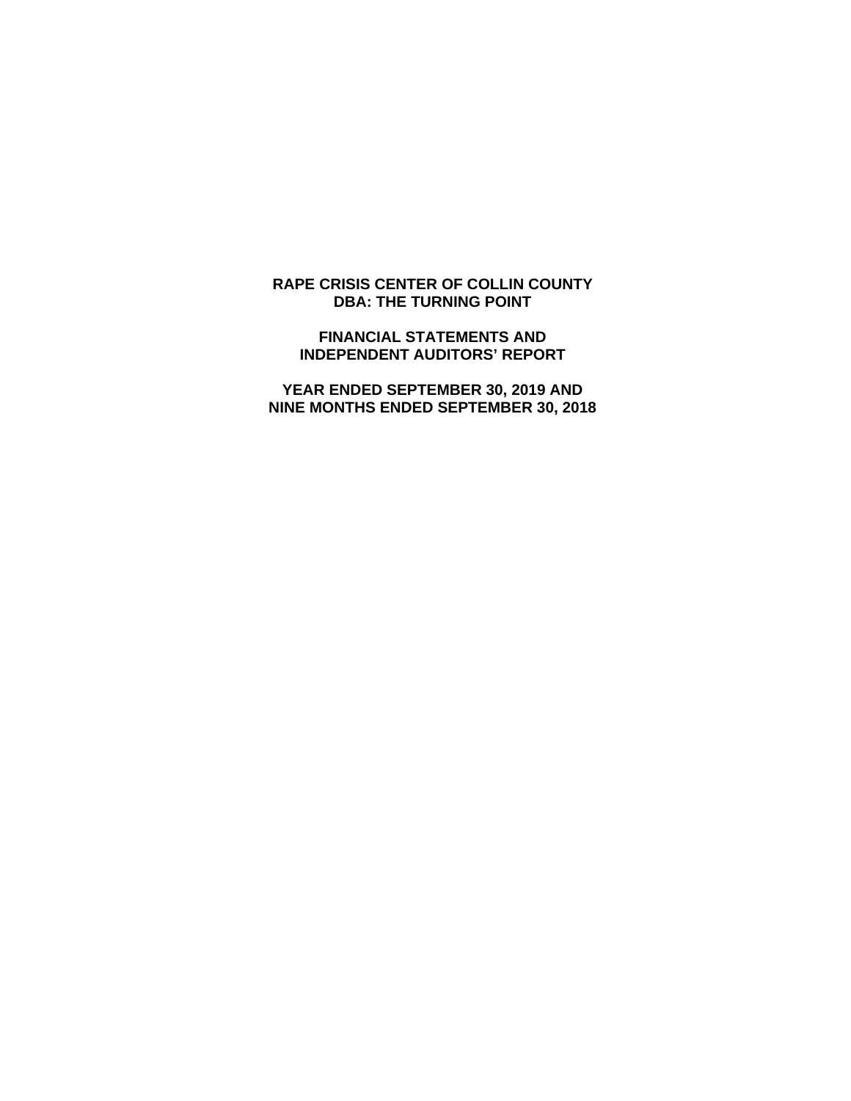**RAPE CRISIS CENTER OF COLLIN COUNTY DBA: THE TURNING POINT** 

**FINANCIAL STATEMENTS AND INDEPENDENT AUDITORS' REPORT** 

**YEAR ENDED SEPTEMBER 30, 2019 AND NINE MONTHS ENDED SEPTEMBER 30, 2018**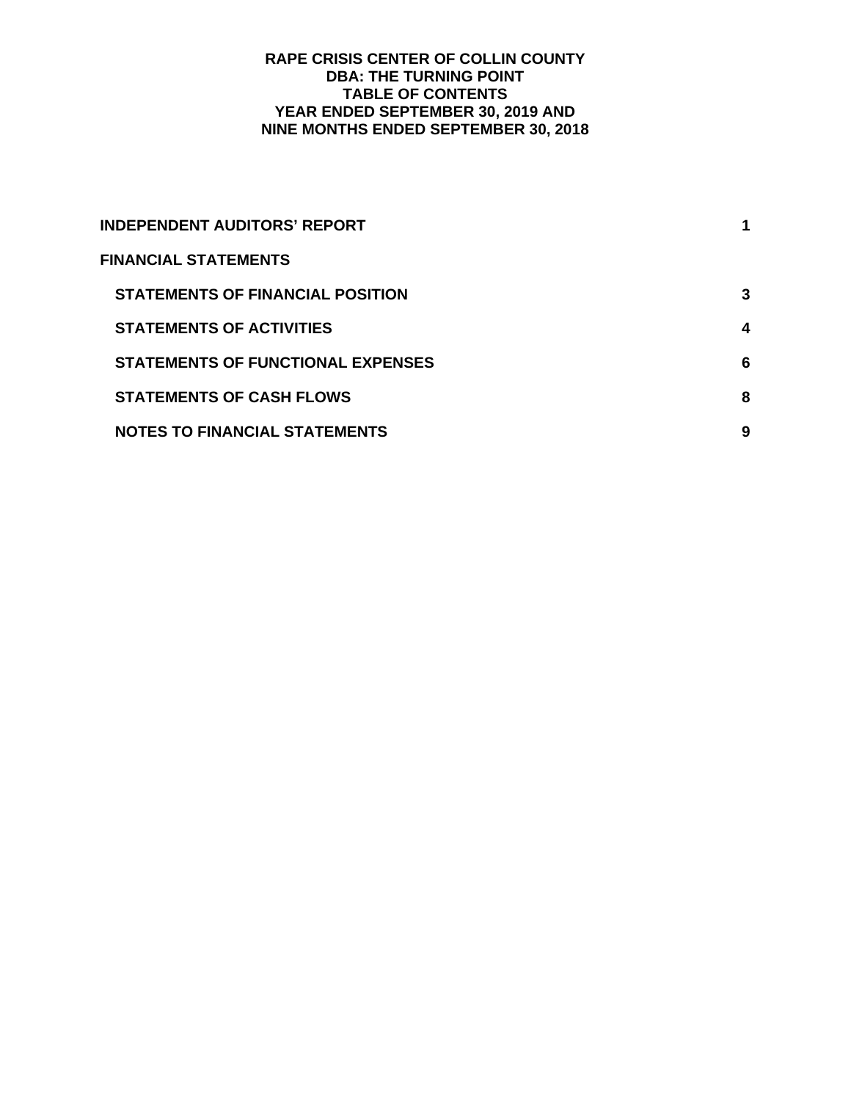### **RAPE CRISIS CENTER OF COLLIN COUNTY DBA: THE TURNING POINT TABLE OF CONTENTS YEAR ENDED SEPTEMBER 30, 2019 AND NINE MONTHS ENDED SEPTEMBER 30, 2018**

| <b>INDEPENDENT AUDITORS' REPORT</b>      |   |
|------------------------------------------|---|
| <b>FINANCIAL STATEMENTS</b>              |   |
| <b>STATEMENTS OF FINANCIAL POSITION</b>  | 3 |
| <b>STATEMENTS OF ACTIVITIES</b>          | 4 |
| <b>STATEMENTS OF FUNCTIONAL EXPENSES</b> | 6 |
| <b>STATEMENTS OF CASH FLOWS</b>          | 8 |
| <b>NOTES TO FINANCIAL STATEMENTS</b>     | 9 |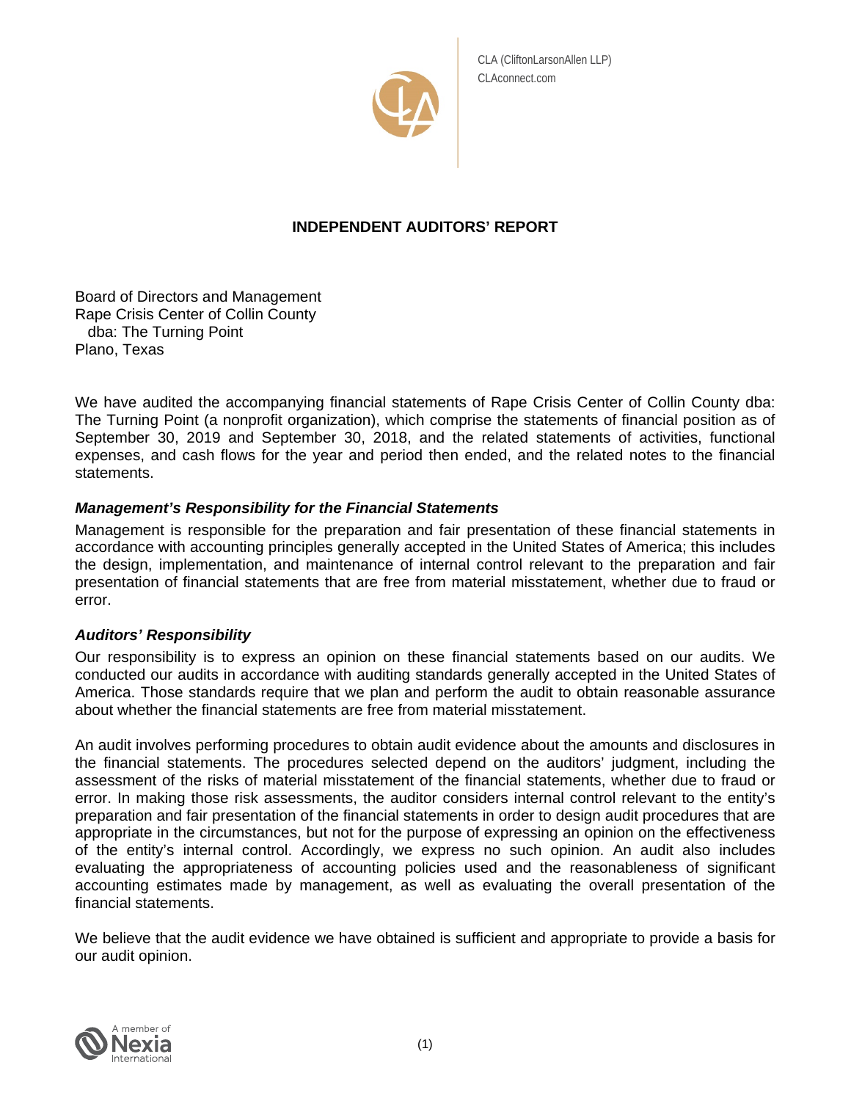

CLA (CliftonLarsonAllen LLP) CLAconnect.com

# **INDEPENDENT AUDITORS' REPORT**

Board of Directors and Management Rape Crisis Center of Collin County dba: The Turning Point Plano, Texas

We have audited the accompanying financial statements of Rape Crisis Center of Collin County dba: The Turning Point (a nonprofit organization), which comprise the statements of financial position as of September 30, 2019 and September 30, 2018, and the related statements of activities, functional expenses, and cash flows for the year and period then ended, and the related notes to the financial statements.

# *Management's Responsibility for the Financial Statements*

Management is responsible for the preparation and fair presentation of these financial statements in accordance with accounting principles generally accepted in the United States of America; this includes the design, implementation, and maintenance of internal control relevant to the preparation and fair presentation of financial statements that are free from material misstatement, whether due to fraud or error.

# *Auditors' Responsibility*

Our responsibility is to express an opinion on these financial statements based on our audits. We conducted our audits in accordance with auditing standards generally accepted in the United States of America. Those standards require that we plan and perform the audit to obtain reasonable assurance about whether the financial statements are free from material misstatement.

An audit involves performing procedures to obtain audit evidence about the amounts and disclosures in the financial statements. The procedures selected depend on the auditors' judgment, including the assessment of the risks of material misstatement of the financial statements, whether due to fraud or error. In making those risk assessments, the auditor considers internal control relevant to the entity's preparation and fair presentation of the financial statements in order to design audit procedures that are appropriate in the circumstances, but not for the purpose of expressing an opinion on the effectiveness of the entity's internal control. Accordingly, we express no such opinion. An audit also includes evaluating the appropriateness of accounting policies used and the reasonableness of significant accounting estimates made by management, as well as evaluating the overall presentation of the financial statements.

We believe that the audit evidence we have obtained is sufficient and appropriate to provide a basis for our audit opinion.

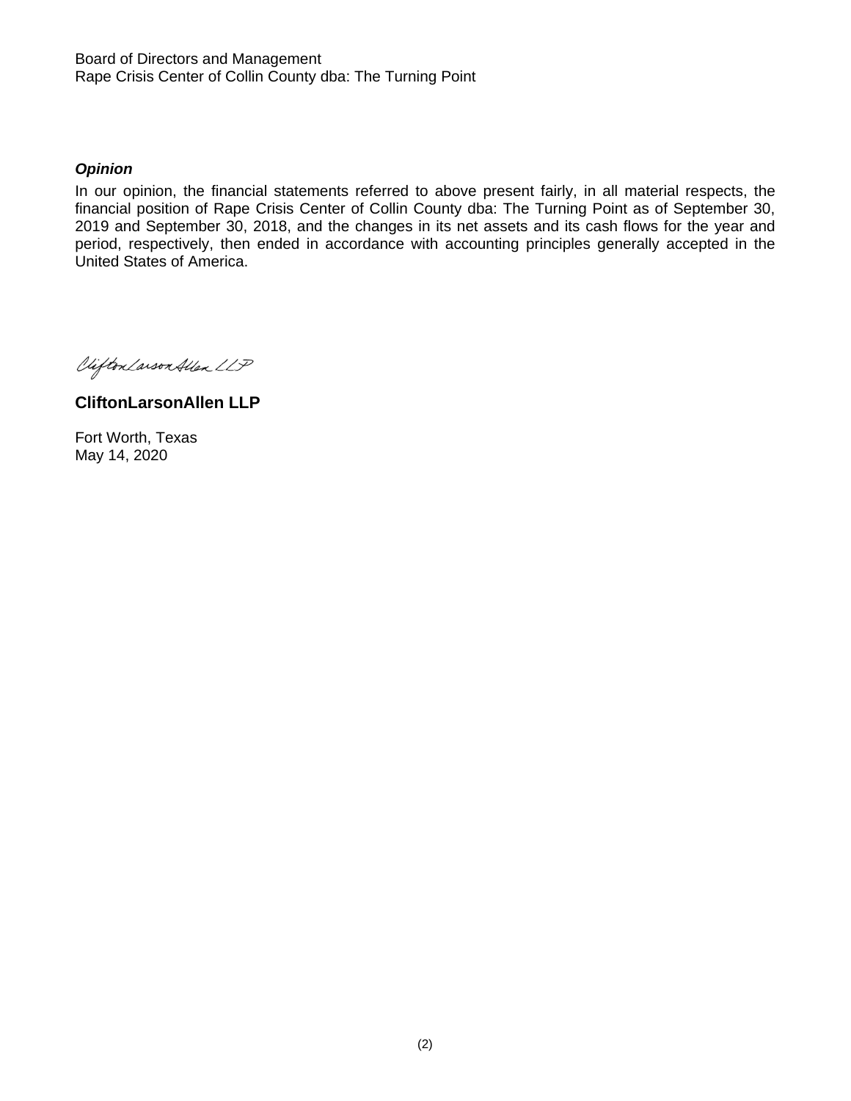Board of Directors and Management Rape Crisis Center of Collin County dba: The Turning Point

### *Opinion*

In our opinion, the financial statements referred to above present fairly, in all material respects, the financial position of Rape Crisis Center of Collin County dba: The Turning Point as of September 30, 2019 and September 30, 2018, and the changes in its net assets and its cash flows for the year and period, respectively, then ended in accordance with accounting principles generally accepted in the United States of America.

Vifton Larson Allen LLP

**CliftonLarsonAllen LLP** 

Fort Worth, Texas May 14, 2020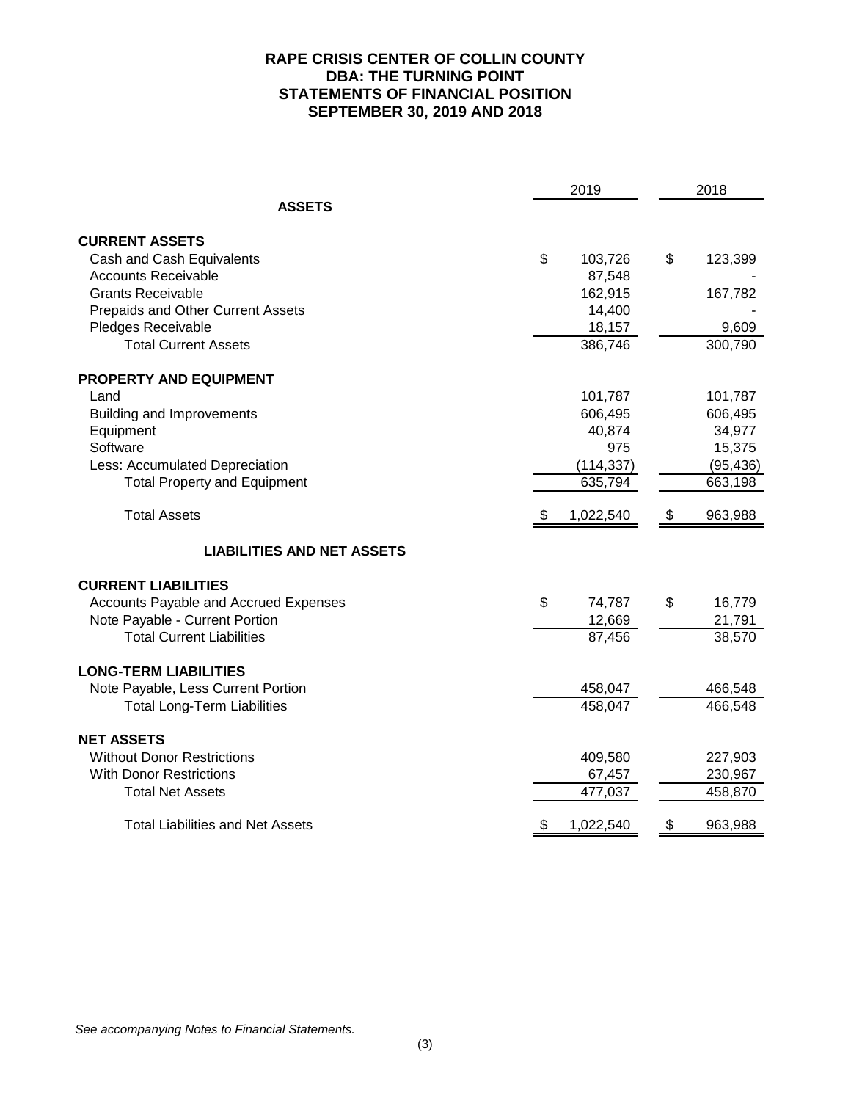## **RAPE CRISIS CENTER OF COLLIN COUNTY DBA: THE TURNING POINT STATEMENTS OF FINANCIAL POSITION SEPTEMBER 30, 2019 AND 2018**

|                                         | 2019            | 2018 |           |
|-----------------------------------------|-----------------|------|-----------|
| <b>ASSETS</b>                           |                 |      |           |
| <b>CURRENT ASSETS</b>                   |                 |      |           |
| Cash and Cash Equivalents               | \$<br>103,726   | \$   | 123,399   |
| <b>Accounts Receivable</b>              | 87,548          |      |           |
| <b>Grants Receivable</b>                | 162,915         |      | 167,782   |
| Prepaids and Other Current Assets       | 14,400          |      |           |
| Pledges Receivable                      | 18,157          |      | 9,609     |
| <b>Total Current Assets</b>             | 386,746         |      | 300,790   |
| PROPERTY AND EQUIPMENT                  |                 |      |           |
| Land                                    | 101,787         |      | 101,787   |
| <b>Building and Improvements</b>        | 606,495         |      | 606,495   |
| Equipment                               | 40,874          |      | 34,977    |
| Software                                | 975             |      | 15,375    |
| Less: Accumulated Depreciation          | (114, 337)      |      | (95, 436) |
| <b>Total Property and Equipment</b>     | 635,794         |      | 663,198   |
| <b>Total Assets</b>                     | \$<br>1,022,540 | \$   | 963,988   |
| <b>LIABILITIES AND NET ASSETS</b>       |                 |      |           |
| <b>CURRENT LIABILITIES</b>              |                 |      |           |
| Accounts Payable and Accrued Expenses   | \$<br>74,787    | \$   | 16,779    |
| Note Payable - Current Portion          | 12,669          |      | 21,791    |
| <b>Total Current Liabilities</b>        | 87,456          |      | 38,570    |
| <b>LONG-TERM LIABILITIES</b>            |                 |      |           |
| Note Payable, Less Current Portion      | 458,047         |      | 466,548   |
| <b>Total Long-Term Liabilities</b>      | 458,047         |      | 466,548   |
| <b>NET ASSETS</b>                       |                 |      |           |
| <b>Without Donor Restrictions</b>       | 409,580         |      | 227,903   |
| <b>With Donor Restrictions</b>          | 67,457          |      | 230,967   |
| <b>Total Net Assets</b>                 | 477,037         |      | 458,870   |
| <b>Total Liabilities and Net Assets</b> | \$<br>1,022,540 | \$   | 963,988   |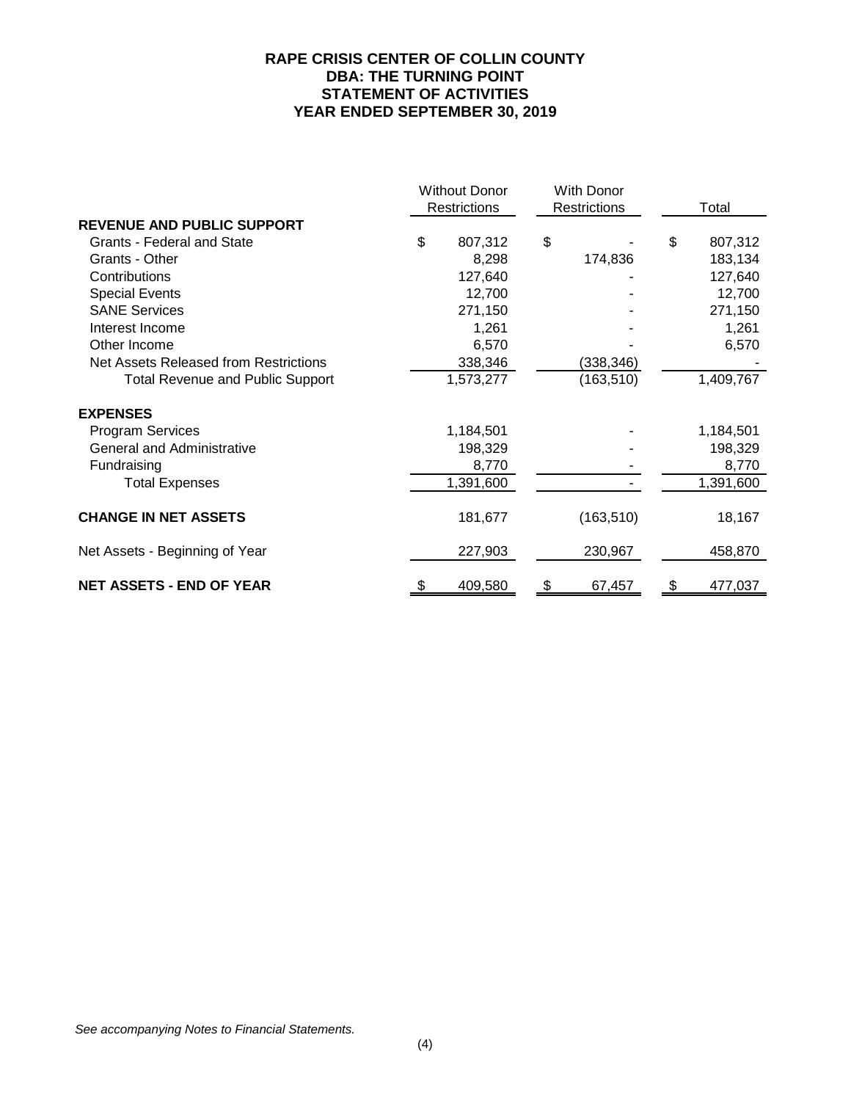### **RAPE CRISIS CENTER OF COLLIN COUNTY DBA: THE TURNING POINT STATEMENT OF ACTIVITIES YEAR ENDED SEPTEMBER 30, 2019**

|                                         |                | <b>Without Donor</b> |           | <b>With Donor</b>   |    |           |
|-----------------------------------------|----------------|----------------------|-----------|---------------------|----|-----------|
|                                         |                | <b>Restrictions</b>  |           | <b>Restrictions</b> |    | Total     |
| <b>REVENUE AND PUBLIC SUPPORT</b>       |                |                      |           |                     |    |           |
| Grants - Federal and State              | \$             | 807,312              | \$        |                     | \$ | 807,312   |
| Grants - Other                          |                | 8,298                |           | 174,836             |    | 183,134   |
| Contributions                           |                | 127,640              |           |                     |    | 127,640   |
| <b>Special Events</b>                   |                | 12,700               |           |                     |    | 12,700    |
| <b>SANE Services</b>                    |                | 271,150              |           |                     |    | 271,150   |
| Interest Income                         |                | 1,261                |           |                     |    | 1,261     |
| Other Income                            |                | 6,570                |           |                     |    | 6,570     |
| Net Assets Released from Restrictions   |                | 338,346              |           | (338,346)           |    |           |
| <b>Total Revenue and Public Support</b> |                | 1,573,277            |           | (163, 510)          |    | 1,409,767 |
| <b>EXPENSES</b>                         |                |                      |           |                     |    |           |
| <b>Program Services</b>                 |                | 1,184,501            |           |                     |    | 1,184,501 |
| <b>General and Administrative</b>       |                | 198,329              |           |                     |    | 198,329   |
| Fundraising                             |                | 8,770                |           |                     |    | 8,770     |
| <b>Total Expenses</b>                   |                | 1,391,600            |           |                     |    | 1,391,600 |
| <b>CHANGE IN NET ASSETS</b>             |                | 181,677              |           | (163, 510)          |    | 18,167    |
| Net Assets - Beginning of Year          |                | 227,903              |           | 230,967             |    | 458,870   |
| <b>NET ASSETS - END OF YEAR</b>         | $\mathfrak{F}$ | 409,580              | <u>\$</u> | 67,457              | \$ | 477,037   |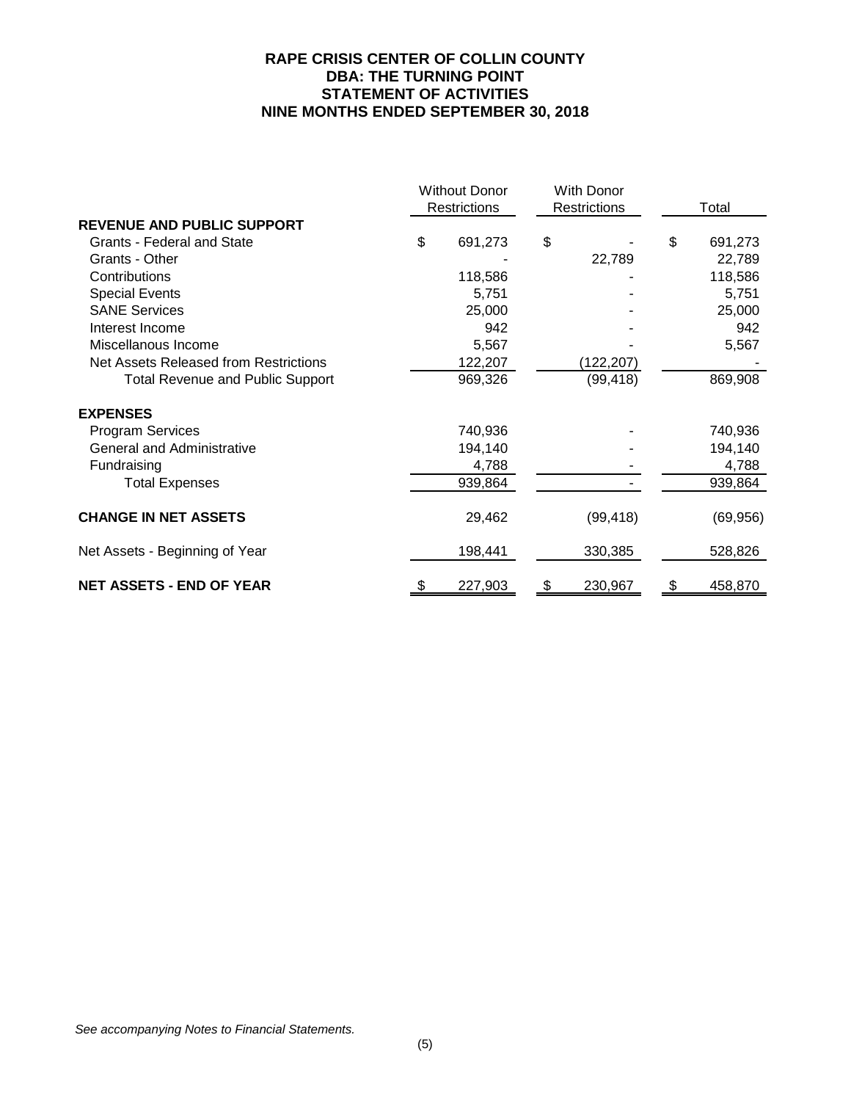#### **RAPE CRISIS CENTER OF COLLIN COUNTY DBA: THE TURNING POINT STATEMENT OF ACTIVITIES NINE MONTHS ENDED SEPTEMBER 30, 2018**

|                                         | <b>Without Donor</b><br>Restrictions |    | With Donor<br><b>Restrictions</b> |    | Total     |  |
|-----------------------------------------|--------------------------------------|----|-----------------------------------|----|-----------|--|
| <b>REVENUE AND PUBLIC SUPPORT</b>       |                                      |    |                                   |    |           |  |
| Grants - Federal and State              | \$<br>691,273                        | \$ |                                   | \$ | 691,273   |  |
| Grants - Other                          |                                      |    | 22,789                            |    | 22,789    |  |
| Contributions                           | 118,586                              |    |                                   |    | 118,586   |  |
| <b>Special Events</b>                   | 5,751                                |    |                                   |    | 5,751     |  |
| <b>SANE Services</b>                    | 25,000                               |    |                                   |    | 25,000    |  |
| Interest Income                         | 942                                  |    |                                   |    | 942       |  |
| Miscellanous Income                     | 5,567                                |    |                                   |    | 5,567     |  |
| Net Assets Released from Restrictions   | 122,207                              |    | (122, 207)                        |    |           |  |
| <b>Total Revenue and Public Support</b> | 969,326                              |    | (99, 418)                         |    | 869,908   |  |
| <b>EXPENSES</b>                         |                                      |    |                                   |    |           |  |
| <b>Program Services</b>                 | 740,936                              |    |                                   |    | 740,936   |  |
| <b>General and Administrative</b>       | 194,140                              |    |                                   |    | 194,140   |  |
| Fundraising                             | 4,788                                |    |                                   |    | 4,788     |  |
| <b>Total Expenses</b>                   | 939,864                              |    |                                   |    | 939,864   |  |
| <b>CHANGE IN NET ASSETS</b>             | 29,462                               |    | (99, 418)                         |    | (69, 956) |  |
| Net Assets - Beginning of Year          | 198,441                              |    | 330,385                           |    | 528,826   |  |
| <b>NET ASSETS - END OF YEAR</b>         | \$<br>227,903                        | \$ | 230,967                           | \$ | 458,870   |  |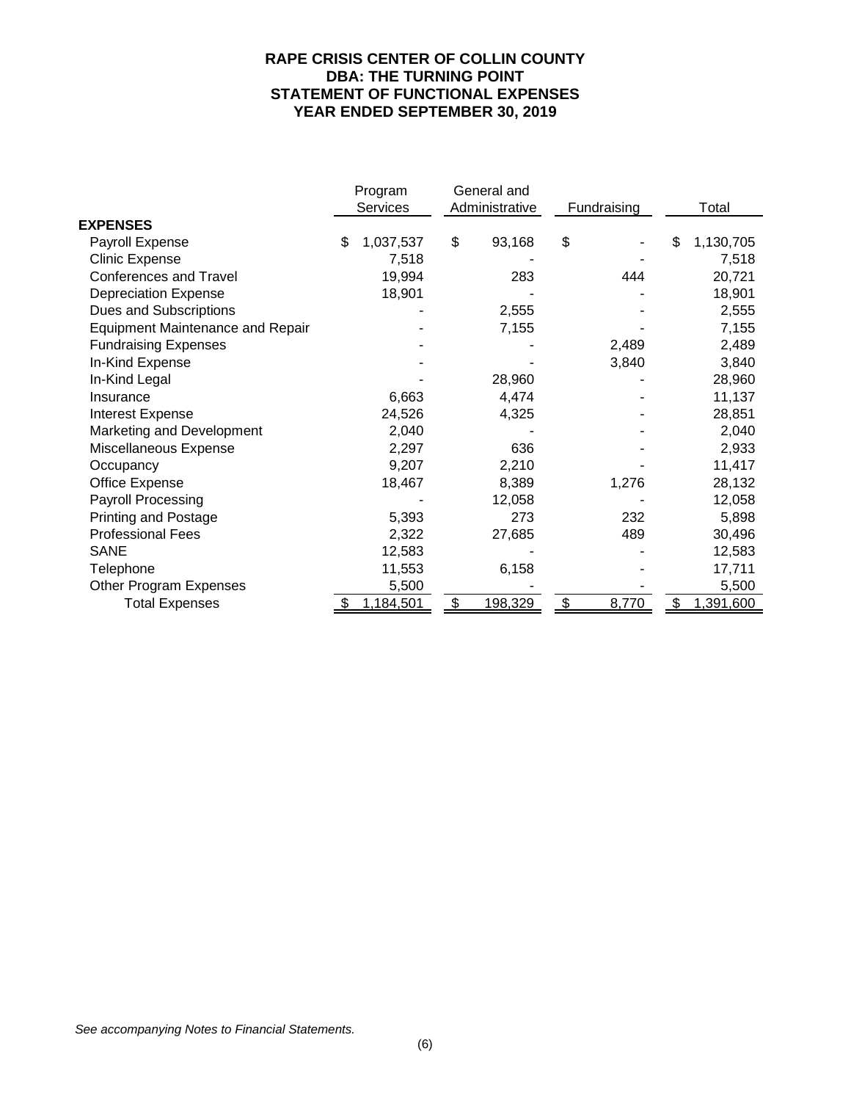#### **RAPE CRISIS CENTER OF COLLIN COUNTY DBA: THE TURNING POINT STATEMENT OF FUNCTIONAL EXPENSES YEAR ENDED SEPTEMBER 30, 2019**

|                                         | Program         |     | General and    |             |                 |
|-----------------------------------------|-----------------|-----|----------------|-------------|-----------------|
|                                         | Services        |     | Administrative | Fundraising | Total           |
| <b>EXPENSES</b>                         |                 |     |                |             |                 |
| Payroll Expense                         | \$<br>1,037,537 | \$  | 93,168         | \$          | \$<br>1,130,705 |
| <b>Clinic Expense</b>                   | 7,518           |     |                |             | 7,518           |
| <b>Conferences and Travel</b>           | 19,994          |     | 283            | 444         | 20,721          |
| <b>Depreciation Expense</b>             | 18,901          |     |                |             | 18,901          |
| Dues and Subscriptions                  |                 |     | 2,555          |             | 2,555           |
| <b>Equipment Maintenance and Repair</b> |                 |     | 7,155          |             | 7,155           |
| <b>Fundraising Expenses</b>             |                 |     |                | 2,489       | 2,489           |
| In-Kind Expense                         |                 |     |                | 3,840       | 3,840           |
| In-Kind Legal                           |                 |     | 28,960         |             | 28,960          |
| Insurance                               | 6,663           |     | 4,474          |             | 11,137          |
| Interest Expense                        | 24,526          |     | 4,325          |             | 28,851          |
| Marketing and Development               | 2,040           |     |                |             | 2,040           |
| Miscellaneous Expense                   | 2,297           |     | 636            |             | 2,933           |
| Occupancy                               | 9,207           |     | 2,210          |             | 11,417          |
| Office Expense                          | 18,467          |     | 8,389          | 1,276       | 28,132          |
| <b>Payroll Processing</b>               |                 |     | 12,058         |             | 12,058          |
| <b>Printing and Postage</b>             | 5,393           |     | 273            | 232         | 5,898           |
| <b>Professional Fees</b>                | 2,322           |     | 27,685         | 489         | 30,496          |
| <b>SANE</b>                             | 12,583          |     |                |             | 12,583          |
| Telephone                               | 11,553          |     | 6,158          |             | 17,711          |
| Other Program Expenses                  | 5,500           |     |                |             | 5,500           |
| <b>Total Expenses</b>                   | 1,184,501       | \$. | 198,329        | \$<br>8,770 | \$<br>1,391,600 |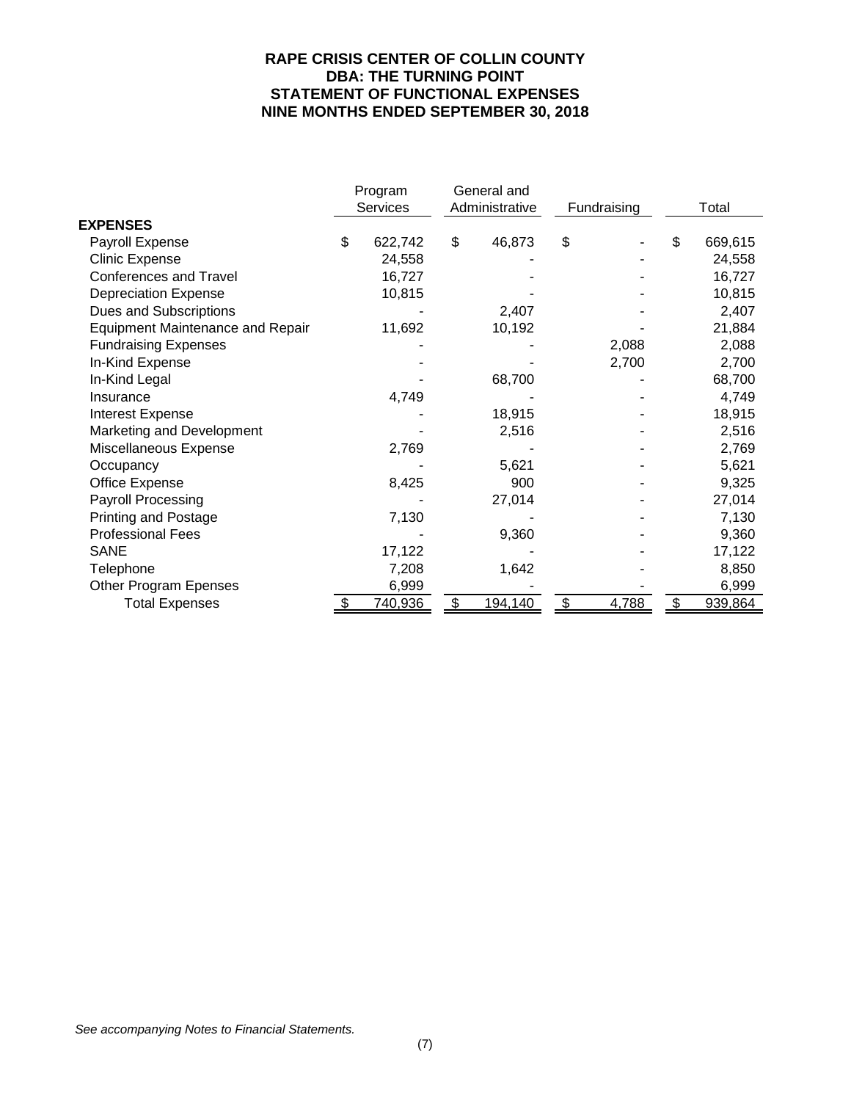## **RAPE CRISIS CENTER OF COLLIN COUNTY DBA: THE TURNING POINT STATEMENT OF FUNCTIONAL EXPENSES NINE MONTHS ENDED SEPTEMBER 30, 2018**

|                                         | Program        | General and          |             |               |
|-----------------------------------------|----------------|----------------------|-------------|---------------|
|                                         | Services       | Administrative       | Fundraising | Total         |
| <b>EXPENSES</b>                         |                |                      |             |               |
| Payroll Expense                         | \$<br>622,742  | \$<br>46,873         | \$          | \$<br>669,615 |
| <b>Clinic Expense</b>                   | 24,558         |                      |             | 24,558        |
| <b>Conferences and Travel</b>           | 16,727         |                      |             | 16,727        |
| <b>Depreciation Expense</b>             | 10,815         |                      |             | 10,815        |
| Dues and Subscriptions                  |                | 2,407                |             | 2,407         |
| <b>Equipment Maintenance and Repair</b> | 11,692         | 10,192               |             | 21,884        |
| <b>Fundraising Expenses</b>             |                |                      | 2,088       | 2,088         |
| In-Kind Expense                         |                |                      | 2,700       | 2,700         |
| In-Kind Legal                           |                | 68,700               |             | 68,700        |
| Insurance                               | 4,749          |                      |             | 4,749         |
| Interest Expense                        |                | 18,915               |             | 18,915        |
| Marketing and Development               |                | 2,516                |             | 2,516         |
| Miscellaneous Expense                   | 2,769          |                      |             | 2,769         |
| Occupancy                               |                | 5,621                |             | 5,621         |
| Office Expense                          | 8,425          | 900                  |             | 9,325         |
| <b>Payroll Processing</b>               |                | 27,014               |             | 27,014        |
| <b>Printing and Postage</b>             | 7,130          |                      |             | 7,130         |
| <b>Professional Fees</b>                |                | 9,360                |             | 9,360         |
| <b>SANE</b>                             | 17,122         |                      |             | 17,122        |
| Telephone                               | 7,208          | 1,642                |             | 8,850         |
| Other Program Epenses                   | 6,999          |                      |             | 6,999         |
| <b>Total Expenses</b>                   | <u>740,936</u> | \$<br><u>194,140</u> | \$<br>4,788 | \$<br>939,864 |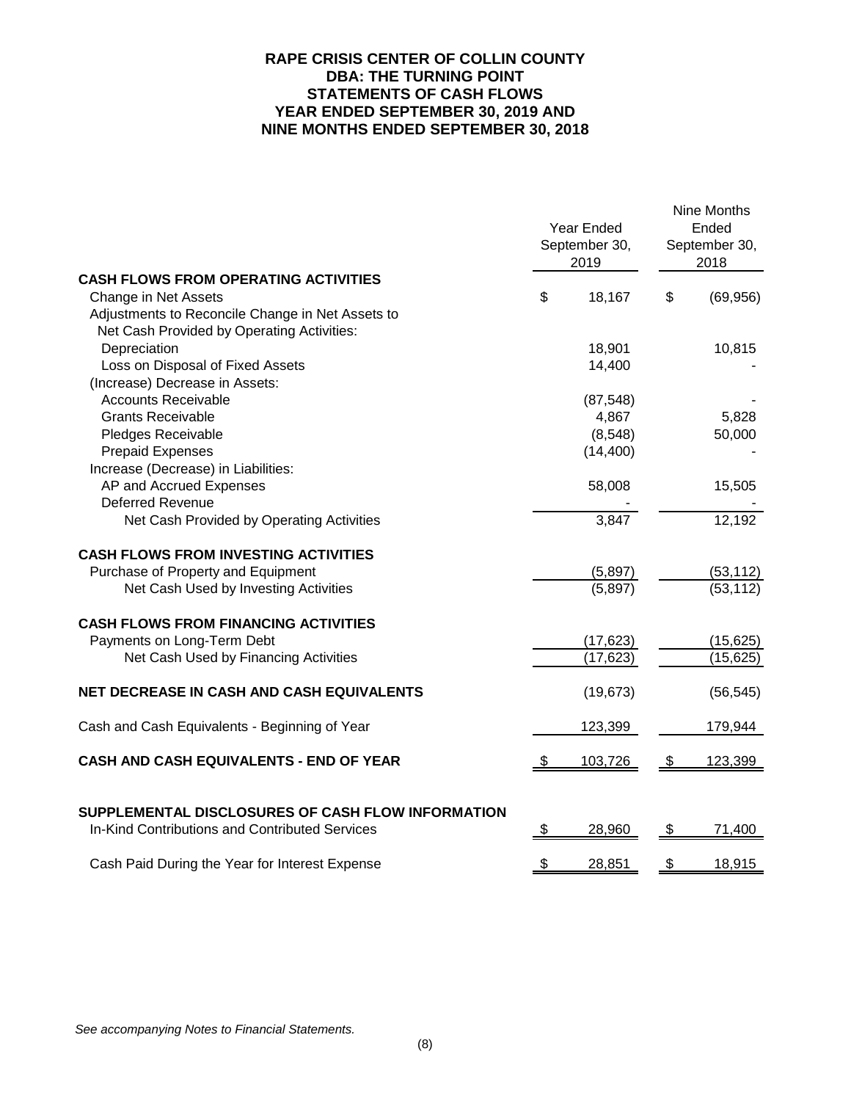#### **RAPE CRISIS CENTER OF COLLIN COUNTY DBA: THE TURNING POINT STATEMENTS OF CASH FLOWS YEAR ENDED SEPTEMBER 30, 2019 AND NINE MONTHS ENDED SEPTEMBER 30, 2018**

|                                                                                                     |           | Year Ended<br>September 30,<br>2019 | Nine Months<br>Ended<br>September 30,<br>2018 |           |  |
|-----------------------------------------------------------------------------------------------------|-----------|-------------------------------------|-----------------------------------------------|-----------|--|
| <b>CASH FLOWS FROM OPERATING ACTIVITIES</b>                                                         |           |                                     |                                               |           |  |
| Change in Net Assets                                                                                | \$        | 18,167                              | \$                                            | (69, 956) |  |
| Adjustments to Reconcile Change in Net Assets to                                                    |           |                                     |                                               |           |  |
| Net Cash Provided by Operating Activities:                                                          |           |                                     |                                               |           |  |
| Depreciation                                                                                        |           | 18,901                              |                                               | 10,815    |  |
| Loss on Disposal of Fixed Assets                                                                    |           | 14,400                              |                                               |           |  |
| (Increase) Decrease in Assets:                                                                      |           |                                     |                                               |           |  |
| <b>Accounts Receivable</b>                                                                          |           | (87, 548)                           |                                               |           |  |
| <b>Grants Receivable</b>                                                                            |           | 4,867                               |                                               | 5,828     |  |
| Pledges Receivable                                                                                  |           | (8, 548)                            |                                               | 50,000    |  |
| <b>Prepaid Expenses</b>                                                                             |           | (14, 400)                           |                                               |           |  |
| Increase (Decrease) in Liabilities:                                                                 |           |                                     |                                               |           |  |
| AP and Accrued Expenses                                                                             |           | 58,008                              |                                               | 15,505    |  |
| <b>Deferred Revenue</b>                                                                             |           |                                     |                                               |           |  |
| Net Cash Provided by Operating Activities                                                           |           | 3,847                               |                                               | 12,192    |  |
| <b>CASH FLOWS FROM INVESTING ACTIVITIES</b>                                                         |           |                                     |                                               |           |  |
| Purchase of Property and Equipment                                                                  |           | (5,897)                             |                                               | (53, 112) |  |
| Net Cash Used by Investing Activities                                                               |           | (5,897)                             |                                               | (53, 112) |  |
| <b>CASH FLOWS FROM FINANCING ACTIVITIES</b>                                                         |           |                                     |                                               |           |  |
| Payments on Long-Term Debt                                                                          |           | (17, 623)                           |                                               | (15, 625) |  |
| Net Cash Used by Financing Activities                                                               |           | (17, 623)                           |                                               | (15, 625) |  |
| NET DECREASE IN CASH AND CASH EQUIVALENTS                                                           |           | (19, 673)                           |                                               | (56, 545) |  |
| Cash and Cash Equivalents - Beginning of Year                                                       |           | 123,399                             |                                               | 179,944   |  |
| CASH AND CASH EQUIVALENTS - END OF YEAR                                                             |           | 103,726                             | -\$                                           | 123,399   |  |
| SUPPLEMENTAL DISCLOSURES OF CASH FLOW INFORMATION<br>In-Kind Contributions and Contributed Services | <u>\$</u> | 28,960                              | <u>\$</u>                                     | 71,400    |  |
|                                                                                                     |           |                                     |                                               |           |  |
| Cash Paid During the Year for Interest Expense                                                      | \$        | 28,851                              | \$                                            | 18,915    |  |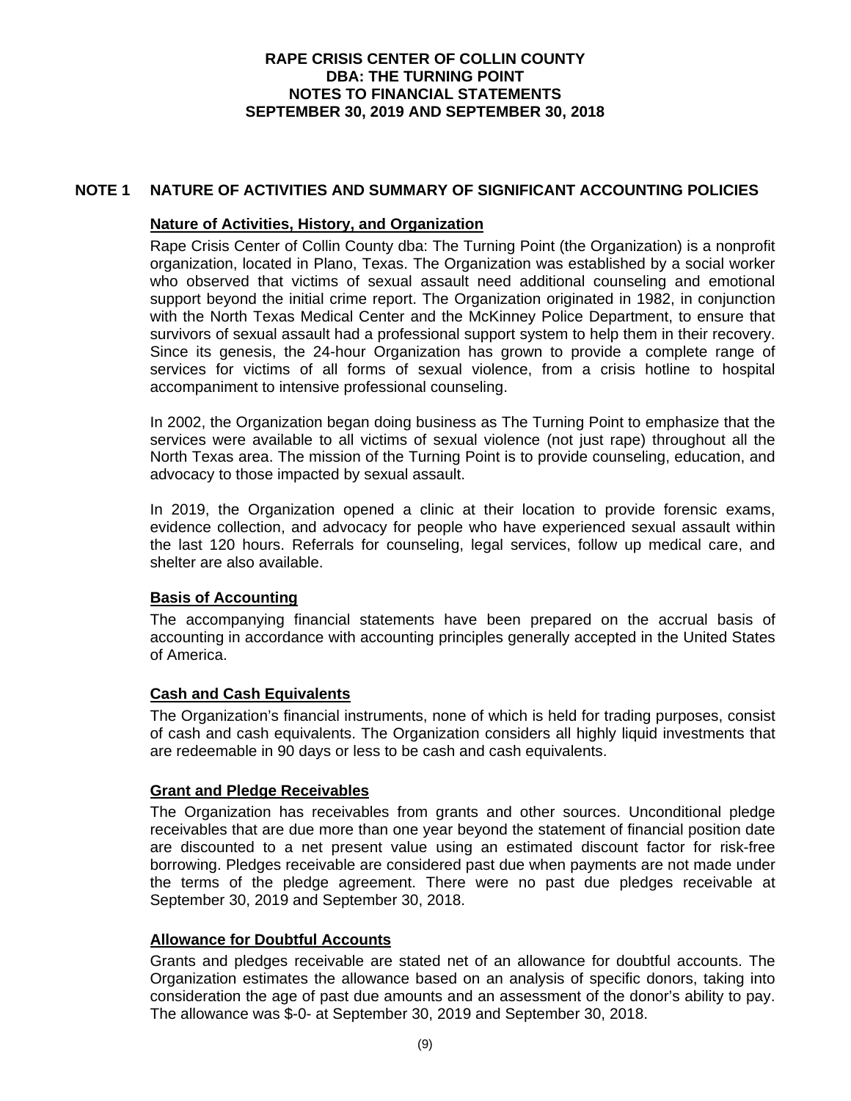# **NOTE 1 NATURE OF ACTIVITIES AND SUMMARY OF SIGNIFICANT ACCOUNTING POLICIES**

### **Nature of Activities, History, and Organization**

Rape Crisis Center of Collin County dba: The Turning Point (the Organization) is a nonprofit organization, located in Plano, Texas. The Organization was established by a social worker who observed that victims of sexual assault need additional counseling and emotional support beyond the initial crime report. The Organization originated in 1982, in conjunction with the North Texas Medical Center and the McKinney Police Department, to ensure that survivors of sexual assault had a professional support system to help them in their recovery. Since its genesis, the 24-hour Organization has grown to provide a complete range of services for victims of all forms of sexual violence, from a crisis hotline to hospital accompaniment to intensive professional counseling.

In 2002, the Organization began doing business as The Turning Point to emphasize that the services were available to all victims of sexual violence (not just rape) throughout all the North Texas area. The mission of the Turning Point is to provide counseling, education, and advocacy to those impacted by sexual assault.

In 2019, the Organization opened a clinic at their location to provide forensic exams, evidence collection, and advocacy for people who have experienced sexual assault within the last 120 hours. Referrals for counseling, legal services, follow up medical care, and shelter are also available.

# **Basis of Accounting**

The accompanying financial statements have been prepared on the accrual basis of accounting in accordance with accounting principles generally accepted in the United States of America.

# **Cash and Cash Equivalents**

The Organization's financial instruments, none of which is held for trading purposes, consist of cash and cash equivalents. The Organization considers all highly liquid investments that are redeemable in 90 days or less to be cash and cash equivalents.

#### **Grant and Pledge Receivables**

The Organization has receivables from grants and other sources. Unconditional pledge receivables that are due more than one year beyond the statement of financial position date are discounted to a net present value using an estimated discount factor for risk-free borrowing. Pledges receivable are considered past due when payments are not made under the terms of the pledge agreement. There were no past due pledges receivable at September 30, 2019 and September 30, 2018.

# **Allowance for Doubtful Accounts**

Grants and pledges receivable are stated net of an allowance for doubtful accounts. The Organization estimates the allowance based on an analysis of specific donors, taking into consideration the age of past due amounts and an assessment of the donor's ability to pay. The allowance was \$-0- at September 30, 2019 and September 30, 2018.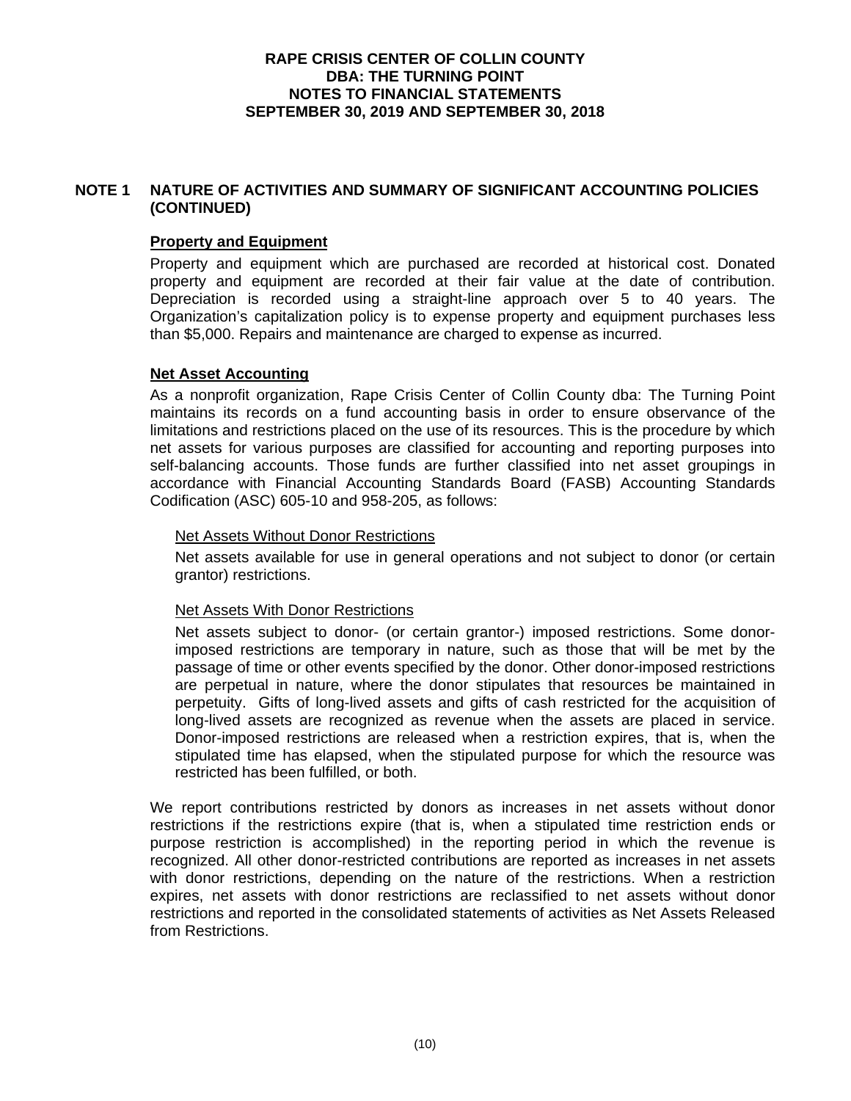# **NOTE 1 NATURE OF ACTIVITIES AND SUMMARY OF SIGNIFICANT ACCOUNTING POLICIES (CONTINUED)**

### **Property and Equipment**

Property and equipment which are purchased are recorded at historical cost. Donated property and equipment are recorded at their fair value at the date of contribution. Depreciation is recorded using a straight-line approach over 5 to 40 years. The Organization's capitalization policy is to expense property and equipment purchases less than \$5,000. Repairs and maintenance are charged to expense as incurred.

### **Net Asset Accounting**

As a nonprofit organization, Rape Crisis Center of Collin County dba: The Turning Point maintains its records on a fund accounting basis in order to ensure observance of the limitations and restrictions placed on the use of its resources. This is the procedure by which net assets for various purposes are classified for accounting and reporting purposes into self-balancing accounts. Those funds are further classified into net asset groupings in accordance with Financial Accounting Standards Board (FASB) Accounting Standards Codification (ASC) 605-10 and 958-205, as follows:

#### Net Assets Without Donor Restrictions

Net assets available for use in general operations and not subject to donor (or certain grantor) restrictions.

# Net Assets With Donor Restrictions

Net assets subject to donor- (or certain grantor-) imposed restrictions. Some donorimposed restrictions are temporary in nature, such as those that will be met by the passage of time or other events specified by the donor. Other donor-imposed restrictions are perpetual in nature, where the donor stipulates that resources be maintained in perpetuity. Gifts of long-lived assets and gifts of cash restricted for the acquisition of long-lived assets are recognized as revenue when the assets are placed in service. Donor-imposed restrictions are released when a restriction expires, that is, when the stipulated time has elapsed, when the stipulated purpose for which the resource was restricted has been fulfilled, or both.

We report contributions restricted by donors as increases in net assets without donor restrictions if the restrictions expire (that is, when a stipulated time restriction ends or purpose restriction is accomplished) in the reporting period in which the revenue is recognized. All other donor-restricted contributions are reported as increases in net assets with donor restrictions, depending on the nature of the restrictions. When a restriction expires, net assets with donor restrictions are reclassified to net assets without donor restrictions and reported in the consolidated statements of activities as Net Assets Released from Restrictions.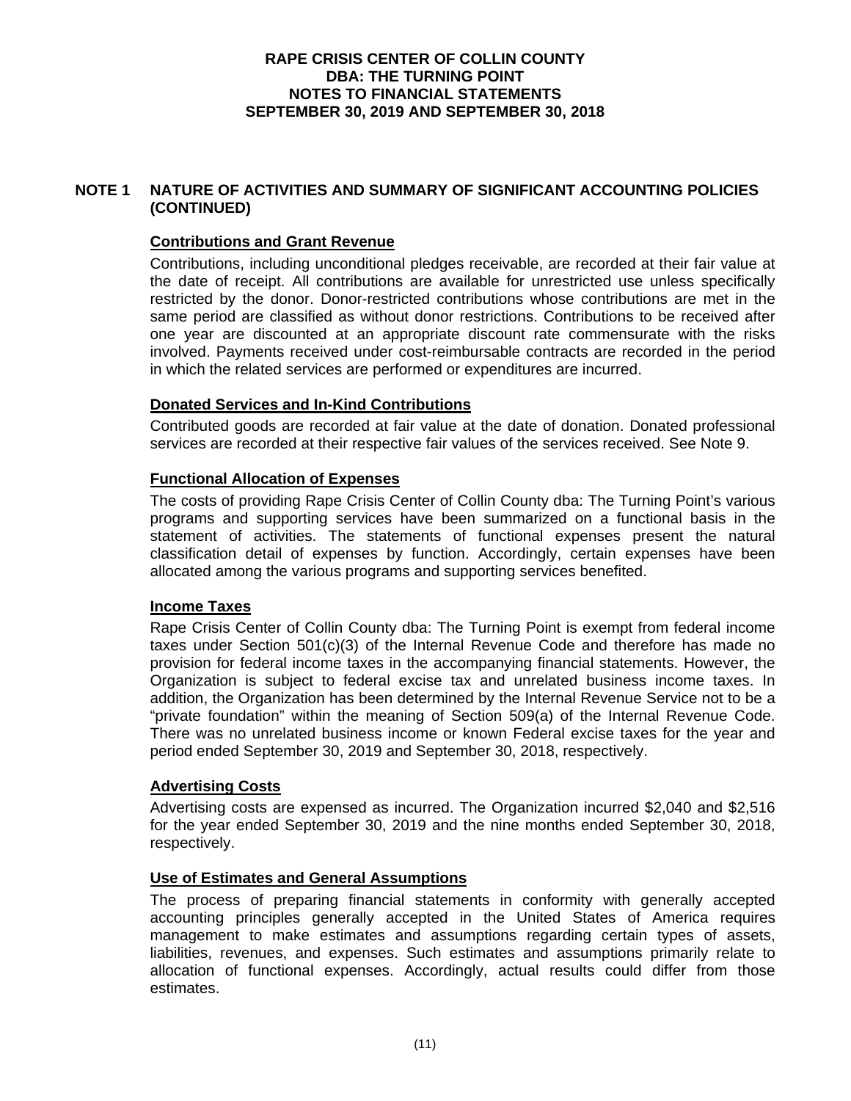# **NOTE 1 NATURE OF ACTIVITIES AND SUMMARY OF SIGNIFICANT ACCOUNTING POLICIES (CONTINUED)**

### **Contributions and Grant Revenue**

Contributions, including unconditional pledges receivable, are recorded at their fair value at the date of receipt. All contributions are available for unrestricted use unless specifically restricted by the donor. Donor-restricted contributions whose contributions are met in the same period are classified as without donor restrictions. Contributions to be received after one year are discounted at an appropriate discount rate commensurate with the risks involved. Payments received under cost-reimbursable contracts are recorded in the period in which the related services are performed or expenditures are incurred.

### **Donated Services and In-Kind Contributions**

Contributed goods are recorded at fair value at the date of donation. Donated professional services are recorded at their respective fair values of the services received. See Note 9.

### **Functional Allocation of Expenses**

The costs of providing Rape Crisis Center of Collin County dba: The Turning Point's various programs and supporting services have been summarized on a functional basis in the statement of activities. The statements of functional expenses present the natural classification detail of expenses by function. Accordingly, certain expenses have been allocated among the various programs and supporting services benefited.

#### **Income Taxes**

Rape Crisis Center of Collin County dba: The Turning Point is exempt from federal income taxes under Section 501(c)(3) of the Internal Revenue Code and therefore has made no provision for federal income taxes in the accompanying financial statements. However, the Organization is subject to federal excise tax and unrelated business income taxes. In addition, the Organization has been determined by the Internal Revenue Service not to be a "private foundation" within the meaning of Section 509(a) of the Internal Revenue Code. There was no unrelated business income or known Federal excise taxes for the year and period ended September 30, 2019 and September 30, 2018, respectively.

#### **Advertising Costs**

Advertising costs are expensed as incurred. The Organization incurred \$2,040 and \$2,516 for the year ended September 30, 2019 and the nine months ended September 30, 2018, respectively.

#### **Use of Estimates and General Assumptions**

The process of preparing financial statements in conformity with generally accepted accounting principles generally accepted in the United States of America requires management to make estimates and assumptions regarding certain types of assets, liabilities, revenues, and expenses. Such estimates and assumptions primarily relate to allocation of functional expenses. Accordingly, actual results could differ from those estimates.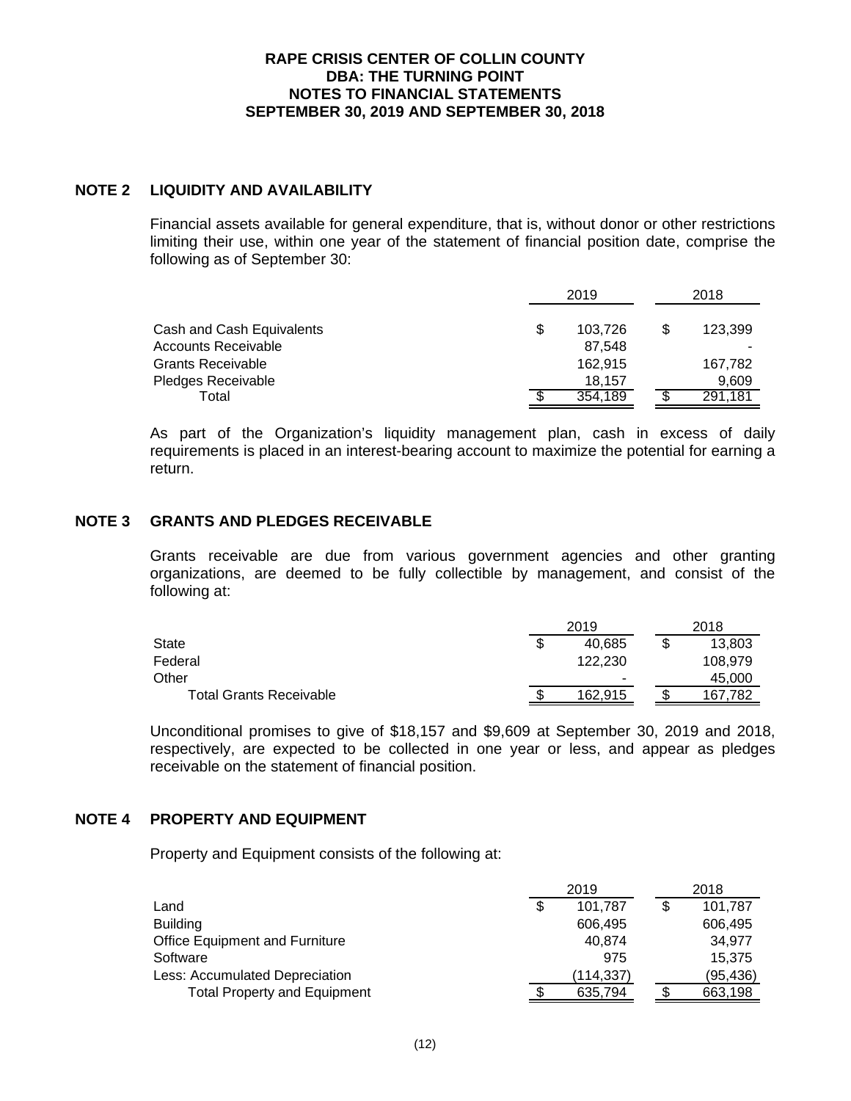### **NOTE 2 LIQUIDITY AND AVAILABILITY**

Financial assets available for general expenditure, that is, without donor or other restrictions limiting their use, within one year of the statement of financial position date, comprise the following as of September 30:

|                           | 2019    | 2018    |  |  |
|---------------------------|---------|---------|--|--|
| Cash and Cash Equivalents | 103.726 | 123,399 |  |  |
| Accounts Receivable       | 87.548  |         |  |  |
| Grants Receivable         | 162.915 | 167,782 |  |  |
| Pledges Receivable        | 18.157  | 9,609   |  |  |
| Total                     | 354.189 | 291.181 |  |  |

As part of the Organization's liquidity management plan, cash in excess of daily requirements is placed in an interest-bearing account to maximize the potential for earning a return.

# **NOTE 3 GRANTS AND PLEDGES RECEIVABLE**

Grants receivable are due from various government agencies and other granting organizations, are deemed to be fully collectible by management, and consist of the following at:

|                                |    | 2019                     | 2018    |  |  |
|--------------------------------|----|--------------------------|---------|--|--|
| State                          | ۰D | 40.685                   | 13.803  |  |  |
| Federal                        |    | 122.230                  | 108,979 |  |  |
| Other                          |    | $\overline{\phantom{a}}$ | 45.000  |  |  |
| <b>Total Grants Receivable</b> | ጥ  | 162,915                  | 167.782 |  |  |

Unconditional promises to give of \$18,157 and \$9,609 at September 30, 2019 and 2018, respectively, are expected to be collected in one year or less, and appear as pledges receivable on the statement of financial position.

# **NOTE 4 PROPERTY AND EQUIPMENT**

Property and Equipment consists of the following at:

|                                       | 2019 |           | 2018      |
|---------------------------------------|------|-----------|-----------|
| Land                                  |      | 101,787   | 101,787   |
| <b>Building</b>                       |      | 606,495   | 606,495   |
| <b>Office Equipment and Furniture</b> |      | 40.874    | 34.977    |
| Software                              |      | 975       | 15.375    |
| Less: Accumulated Depreciation        |      | (114,337) | (95, 436) |
| <b>Total Property and Equipment</b>   |      | 635,794   | 663,198   |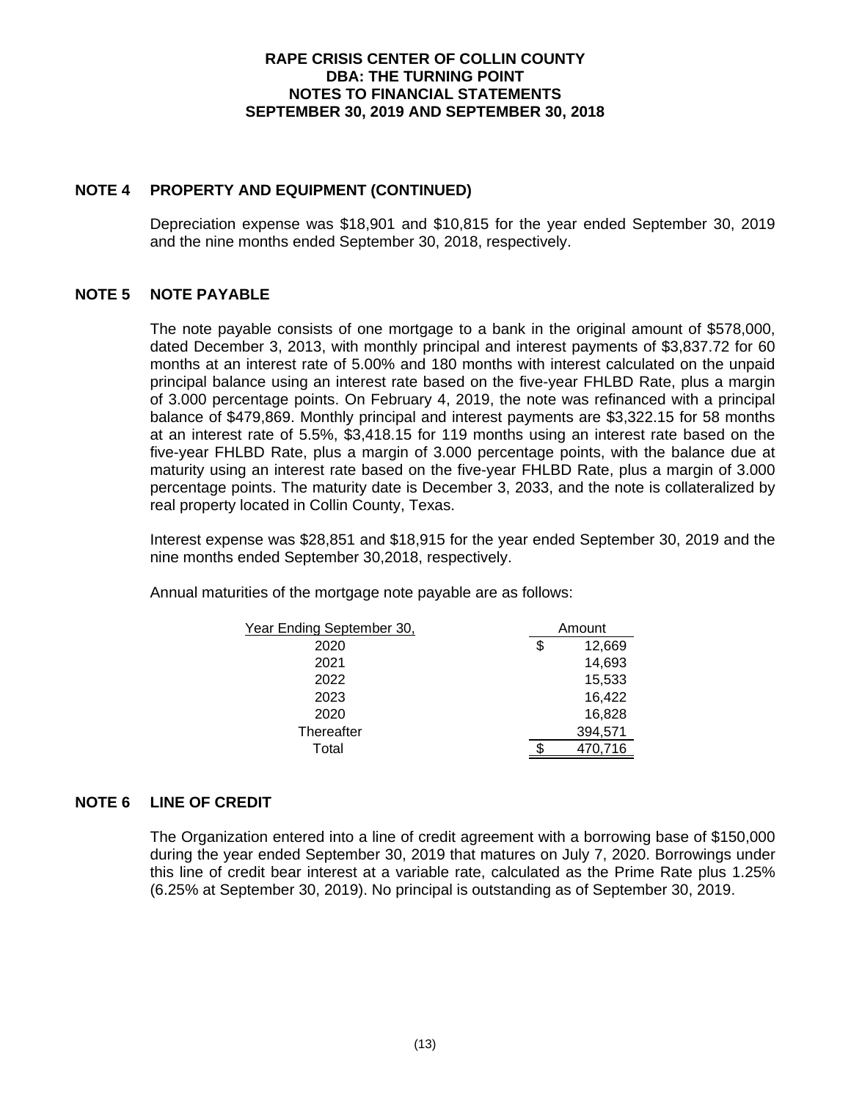# **NOTE 4 PROPERTY AND EQUIPMENT (CONTINUED)**

Depreciation expense was \$18,901 and \$10,815 for the year ended September 30, 2019 and the nine months ended September 30, 2018, respectively.

### **NOTE 5 NOTE PAYABLE**

The note payable consists of one mortgage to a bank in the original amount of \$578,000, dated December 3, 2013, with monthly principal and interest payments of \$3,837.72 for 60 months at an interest rate of 5.00% and 180 months with interest calculated on the unpaid principal balance using an interest rate based on the five-year FHLBD Rate, plus a margin of 3.000 percentage points. On February 4, 2019, the note was refinanced with a principal balance of \$479,869. Monthly principal and interest payments are \$3,322.15 for 58 months at an interest rate of 5.5%, \$3,418.15 for 119 months using an interest rate based on the five-year FHLBD Rate, plus a margin of 3.000 percentage points, with the balance due at maturity using an interest rate based on the five-year FHLBD Rate, plus a margin of 3.000 percentage points. The maturity date is December 3, 2033, and the note is collateralized by real property located in Collin County, Texas.

Interest expense was \$28,851 and \$18,915 for the year ended September 30, 2019 and the nine months ended September 30,2018, respectively.

Annual maturities of the mortgage note payable are as follows:

| Year Ending September 30. | Amount       |
|---------------------------|--------------|
| 2020                      | \$<br>12,669 |
| 2021                      | 14,693       |
| 2022                      | 15,533       |
| 2023                      | 16,422       |
| 2020                      | 16,828       |
| Thereafter                | 394,571      |
| Total                     | 470.716      |

# **NOTE 6 LINE OF CREDIT**

The Organization entered into a line of credit agreement with a borrowing base of \$150,000 during the year ended September 30, 2019 that matures on July 7, 2020. Borrowings under this line of credit bear interest at a variable rate, calculated as the Prime Rate plus 1.25% (6.25% at September 30, 2019). No principal is outstanding as of September 30, 2019.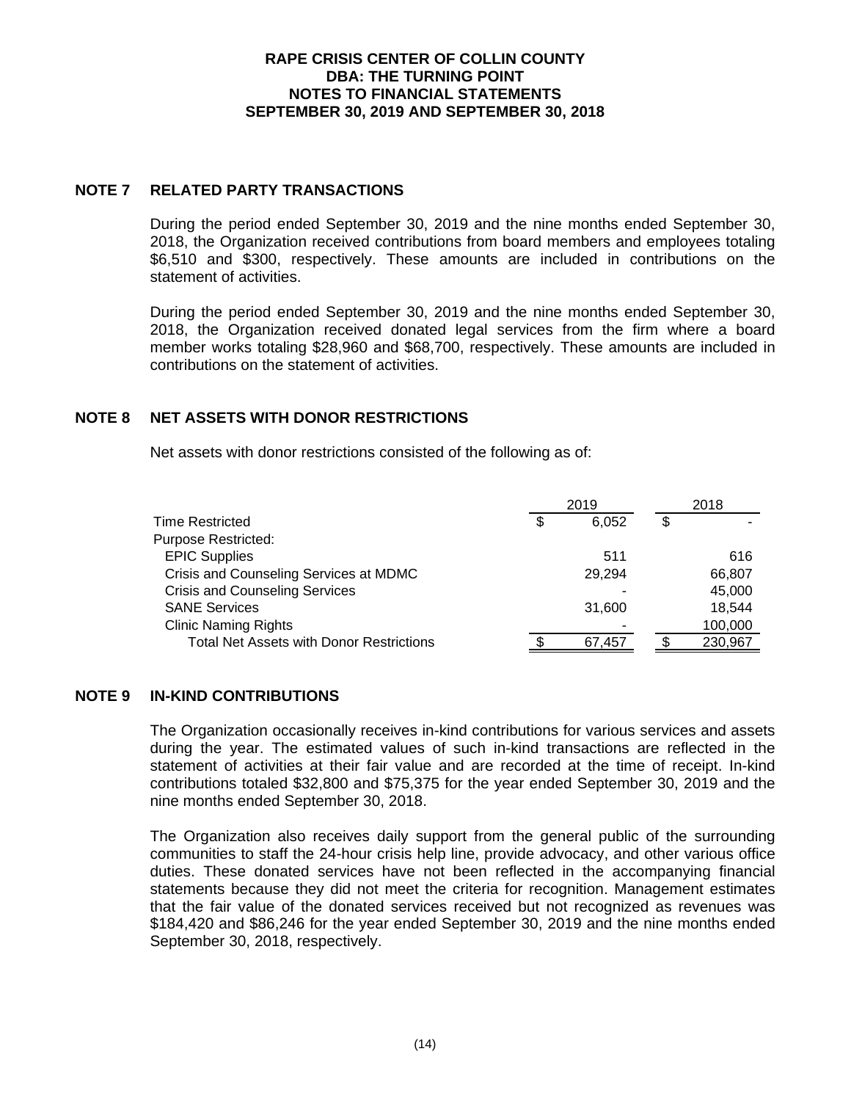# **NOTE 7 RELATED PARTY TRANSACTIONS**

During the period ended September 30, 2019 and the nine months ended September 30, 2018, the Organization received contributions from board members and employees totaling \$6,510 and \$300, respectively. These amounts are included in contributions on the statement of activities.

During the period ended September 30, 2019 and the nine months ended September 30, 2018, the Organization received donated legal services from the firm where a board member works totaling \$28,960 and \$68,700, respectively. These amounts are included in contributions on the statement of activities.

# **NOTE 8 NET ASSETS WITH DONOR RESTRICTIONS**

Net assets with donor restrictions consisted of the following as of:

|                                                 |    | 2019   |   | 2018    |  |  |
|-------------------------------------------------|----|--------|---|---------|--|--|
| Time Restricted                                 | \$ | 6.052  | S |         |  |  |
| <b>Purpose Restricted:</b>                      |    |        |   |         |  |  |
| <b>EPIC Supplies</b>                            |    | 511    |   | 616     |  |  |
| Crisis and Counseling Services at MDMC          |    | 29,294 |   | 66,807  |  |  |
| <b>Crisis and Counseling Services</b>           |    |        |   | 45,000  |  |  |
| <b>SANE Services</b>                            |    | 31,600 |   | 18,544  |  |  |
| <b>Clinic Naming Rights</b>                     |    |        |   | 100,000 |  |  |
| <b>Total Net Assets with Donor Restrictions</b> |    | 67,457 |   | 230,967 |  |  |
|                                                 |    |        |   |         |  |  |

### **NOTE 9 IN-KIND CONTRIBUTIONS**

The Organization occasionally receives in-kind contributions for various services and assets during the year. The estimated values of such in-kind transactions are reflected in the statement of activities at their fair value and are recorded at the time of receipt. In-kind contributions totaled \$32,800 and \$75,375 for the year ended September 30, 2019 and the nine months ended September 30, 2018.

The Organization also receives daily support from the general public of the surrounding communities to staff the 24-hour crisis help line, provide advocacy, and other various office duties. These donated services have not been reflected in the accompanying financial statements because they did not meet the criteria for recognition. Management estimates that the fair value of the donated services received but not recognized as revenues was \$184,420 and \$86,246 for the year ended September 30, 2019 and the nine months ended September 30, 2018, respectively.